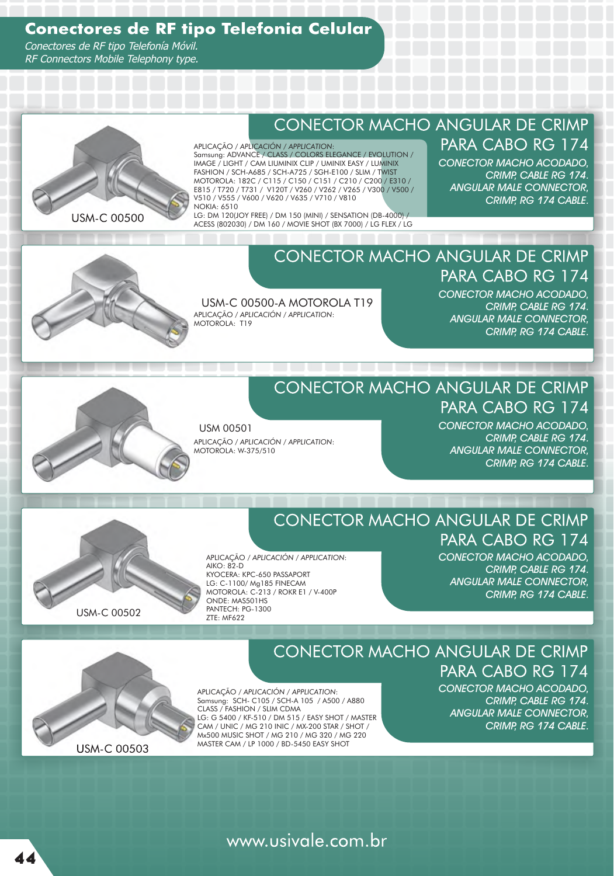## **Conectores de RF tipo Telefonia Celular**

Conectores de RF tipo Telefonía Móvil. RF Connectors Mobile Telephony type.



## **CONECTOR MACHO ANGULAR DE CRIMP**

#### APLICAÇÃO / *APLICACIÓN / APPLICATION*:

Samsung: ADVANCE / CLASS / COLORS ELEGANCE / EVOLUTION / IMAGE / LIGHT / CAM LIUMINIX CLIP / UMINIX EASY / LUMINIX FASHION / SCH-A685 / SCH-A725 / SGH-E100 / SLIM / TWIST MOTOROLA: 182C / C115 / C150 / C151 / C210 / C200 / E310 / E815 / T720 / T731 / V120T / V260 / V262 / V265 / V300 / V500 / V510 / V555 / V600 / V620 / V635 / V710 / V810 NOKIA: 6510

LG: DM 120(JOY FREE) / DM 150 (MINI) / SENSATION (DB-4000) / ACESS (802030) / DM 160 / MOVIE SHOT (BX 7000) / LG FLEX / LG

USM-C 00500-A MOTOROLA T19

APLICAÇÃO / *APLICACIÓN* / *APPLICATION*:

MOTOROLA: T19

# PARA CABO RG 174

CONECTOR MACHO ACODADO, CRIMP, CABLE RG 174. ANGULAR MALE CONNECTOR, CRIMP, RG 174 CABLE.

## **CONECTOR MACHO ANGULAR DE CRIMP** PARA CABO RG 174

CONECTOR MACHO ACODADO, CRIMP, CABLE RG 174. ANGULAR MALE CONNECTOR, CRIMP, RG 174 CABLE.

### **CONECTOR MACHO ANGULAR DE CRIMP** PARA CABO RG 174

USM 00501 APLICAÇÃO / *APLICACIÓN* / *APPLICATION*: MOTOROLA: W-375/510

CONECTOR MACHO ACODADO, CRIMP, CABLE RG 174. ANGULAR MALE CONNECTOR, CRIMP, RG 174 CABLE.

USM-C 00502

## **CONECTOR MACHO ANGULAR DE CRIMP**

APLICAÇÃO / *APLICACIÓN* / *APPLICATION*: AIKO: 82-D KYOCERA: KPC-650 PASSAPORT LG: C-1100/ Mg185 FINECAM MOTOROLA: C-213 / ROKR E1 / V-400P ONDE: MAS501HS PANTECH: PG-1300

ZTE: MF622

CONECTOR MACHO ACODADO, CRIMP, CABLE RG 174. ANGULAR MALE CONNECTOR, CRIMP, RG 174 CABLE.

PARA CABO RG 174



**USM-C 00503** 

## **CONECTOR MACHO ANGULAR DE CRIMP** PARA CABO RG 174

APLICAÇÃO / *APLICACIÓN / APPLICATION*: Samsung: SCH- C105 / SCH-A 105 / A500 / A880 CLASS / FASHION / SLIM CDMA LG: G 5400 / KF-510 / DM 515 / EASY SHOT / MASTER CAM / UNIC / MG 210 INIC / MX-200 STAR / SHOT / Mx500 MUSIC SHOT / MG 210 / MG 320 / MG 220 MASTER CAM / LP 1000 / BD-5450 EASY SHOT

CONECTOR MACHO ACODADO, CRIMP, CABLE RG 174. ANGULAR MALE CONNECTOR, CRIMP, RG 174 CABLE.

www.usivale.com.br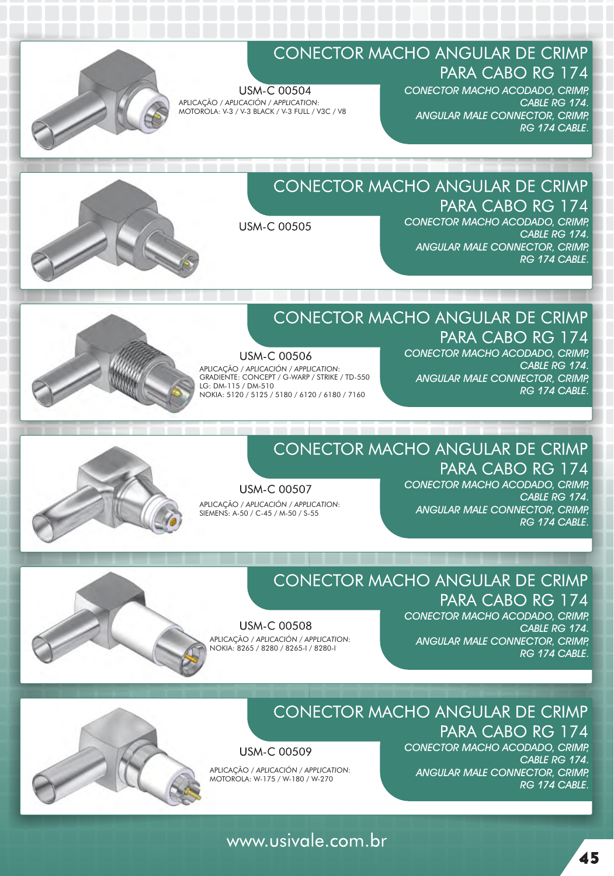

## CONECTOR MACHO ANGULAR DE CRIMP PARA CABO RG 174

**USM-C 00504** APLICAÇÃO / *APLICACIÓN / APPLICATION*: MOTOROLA: V-3 / V-3 BLACK / V-3 FULL / V3C / V8 CONECTOR MACHO ACODADO, CRIMP, CABLE RG 174. ANGULAR MALE CONNECTOR, CRIMP, RG 174 CABLE

## **CONECTOR MACHO ANGULAR DE CRIMP** PARA CABO RG 174

**USM-C 00505** 

CONECTOR MACHO ACODADO, CRIMP, CABLE RG 174. ANGULAR MALE CONNECTOR, CRIMP, RG 174 CABLE



## CONECTOR MACHO ANGULAR DE CRIMP

**USM-C 00506** APLICAÇÃO / *APLICACIÓN / APPLICATION*: GRADIENTE: CONCEPT / G-WARP / STRIKE / TD-550 LG: DM-115 / DM-510 NOKIA: 5120 / 5125 / 5180 / 6120 / 6180 / 7160

PARA CABO RG 174 CONECTOR MACHO ACODADO, CRIMP, CABLE RG 174. ANGULAR MALE CONNECTOR, CRIMP, RG 174 CABLE.



## **CONECTOR MACHO ANGULAR DE CRIMP** PARA CABO RG 174

**USM-C 00507** APLICAÇÃO / *APLICACIÓN / APPLICATION*: SIEMENS: A-50 / C-45 / M-50 / S-55

CONECTOR MACHO ACODADO, CRIMP, CABLE RG 174. ANGULAR MALE CONNECTOR, CRIMP, RG 174 CABLE



# CONECTOR MACHO ANGULAR DE CRIMP

**USM-C 00508** APLICAÇÃO / *APLICACIÓN / APPLICATION*: NOKIA: 8265 / 8280 / 8265-I / 8280-I

PARA CABO RG 174 CONECTOR MACHO ACODADO, CRIMP, CABLE RG 174. ANGULAR MALE CONNECTOR, CRIMP, RG 174 CABLE



## **CONECTOR MACHO ANGULAR DE CRIMP**

**USM-C 00509** 

APLICAÇÃO / *APLICACIÓN / APPLICATION*: MOTOROLA: W-175 / W-180 / W-270

CONECTOR MACHO ACODADO, CRIMP, CABLE RG 174. ANGULAR MALE CONNECTOR, CRIMP, RG 174 CABLE

PARA CABO RG 174

## www.usivale.com.br